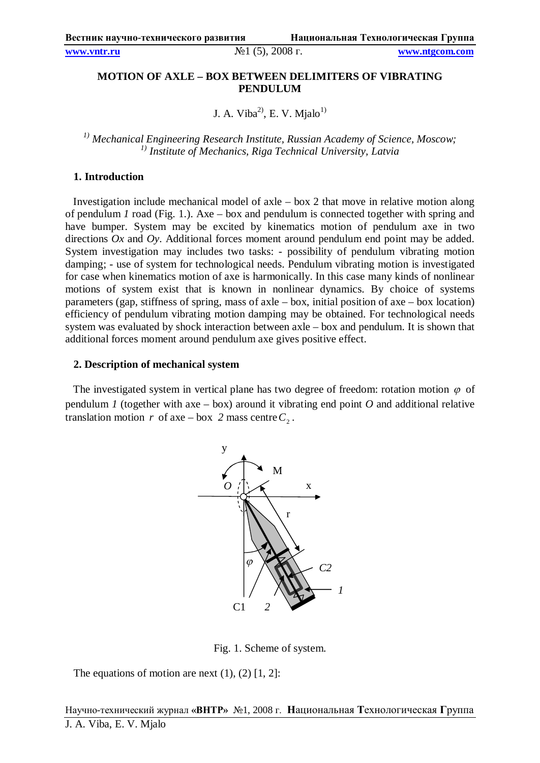**www.vntr.ru** №1 (5), 2008 г. **www.ntgcom.com**

# **MOTION OF AXLE – BOX BETWEEN DELIMITERS OF VIBRATING PENDULUM**

J. A. Viba<sup>2)</sup>, E. V. Mjalo<sup>1)</sup>

<sup>1)</sup> Mechanical Engineering Research Institute, Russian Academy of Science, Moscow;<br><sup>1)</sup> Institute of Mechanics, Riga Technical University, Latvia

### **1. Introduction**

Investigation include mechanical model of axle – box 2 that move in relative motion along of pendulum *1* road (Fig. 1.). Axe – box and pendulum is connected together with spring and have bumper. System may be excited by kinematics motion of pendulum axe in two directions *Ox* and *Oy*. Additional forces moment around pendulum end point may be added. System investigation may includes two tasks: - possibility of pendulum vibrating motion damping; - use of system for technological needs. Pendulum vibrating motion is investigated for case when kinematics motion of axe is harmonically. In this case many kinds of nonlinear motions of system exist that is known in nonlinear dynamics. By choice of systems parameters (gap, stiffness of spring, mass of axle – box, initial position of axe – box location) efficiency of pendulum vibrating motion damping may be obtained. For technological needs system was evaluated by shock interaction between axle – box and pendulum. It is shown that additional forces moment around pendulum axe gives positive effect.

#### **2. Description of mechanical system**

The investigated system in vertical plane has two degree of freedom: rotation motion  $\varphi$  of pendulum *1* (together with axe – box) around it vibrating end point  $O$  and additional relative translation motion *r* of axe – box 2 mass centre  $C_2$ .



Fig. 1. Scheme of system.

The equations of motion are next  $(1)$ ,  $(2)$   $[1, 2]$ :

Научно-технический журнал **«ВНТР»** №1, 2008 г. **Н**ациональная **Т**ехнологическая **Г**руппа J. A. Viba, E. V. Mjalo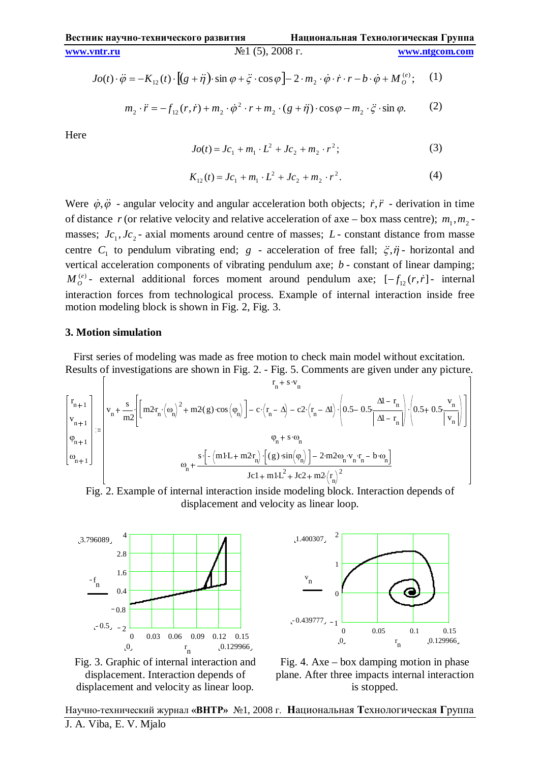$$
Jo(t) \cdot \ddot{\varphi} = -K_{12}(t) \cdot [(g + \ddot{\eta}) \cdot \sin \varphi + \ddot{\varphi} \cdot \cos \varphi] - 2 \cdot m_2 \cdot \dot{\varphi} \cdot \dot{r} \cdot r - b \cdot \dot{\varphi} + M_o^{(e)}; \quad (1)
$$

$$
m_2 \cdot \ddot{r} = -f_{12}(r, \dot{r}) + m_2 \cdot \dot{\phi}^2 \cdot r + m_2 \cdot (g + \ddot{\eta}) \cdot \cos \varphi - m_2 \cdot \ddot{\zeta} \cdot \sin \varphi. \tag{2}
$$

Here

$$
Jo(t) = Jc_1 + m_1 \cdot L^2 + Jc_2 + m_2 \cdot r^2;
$$
 (3)

$$
K_{12}(t) = Jc_1 + m_1 \cdot L^2 + Jc_2 + m_2 \cdot r^2. \tag{4}
$$

Were  $\dot{\varphi}, \ddot{\varphi}$  - angular velocity and angular acceleration both objects;  $\dot{r}, \ddot{r}$  - derivation in time of distance *r* (or relative velocity and relative acceleration of axe – box mass centre);  $m_1, m_2$  masses;  $Jc_1$ ,  $Jc_2$  - axial moments around centre of masses;  $L$  - constant distance from masse centre  $C_1$  to pendulum vibrating end;  $g$  - acceleration of free fall;  $\ddot{\zeta}, \ddot{\eta}$  - horizontal and vertical acceleration components of vibrating pendulum axe; *b* - constant of linear damping;  $M_o^{(e)}$ - external additional forces moment around pendulum axe;  $[-f_{12}(r, \dot{r})]$ - internal interaction forces from technological process. Example of internal interaction inside free motion modeling block is shown in Fig. 2, Fig. 3.

### **3. Motion simulation**

First series of modeling was made as free motion to check main model without excitation. Results of investigations are shown in Fig. 2. - Fig. 5. Comments are given under any picture.

$$
\begin{bmatrix} r_{n+1} \\ v_{n+1} \\ \varphi_{n+1} \\ \varphi_{n+1} \\ \varphi_{n+1} \end{bmatrix} := \begin{bmatrix} r_{n} + s \cdot v_{n} \\ v_{n} + \frac{s}{m2} \Bigg[ \Bigg[ m2r_{n} \cdot (\omega_{n} )^{2} + m2(g) \cdot \cos \left( \phi_{n} \right) \Bigg] - c \cdot \Big( r_{n} - \Delta \Big) - c2 \cdot \Big( r_{n} - \Delta \Big) \cdot \Bigg( 0.5 - 0.5 \frac{\Delta l - r_{n}}{\Delta l - r_{n}} \Bigg) \cdot \Bigg( 0.5 + 0.5 \frac{v_{n}}{\Big| v_{n} \Big|} \Bigg) \Bigg] \\ \varphi_{n} + s \cdot \omega_{n} \\ \varphi_{n} + s \cdot \omega_{n} \\ \varphi_{n} + s \cdot \omega_{n} \\ \varphi_{n} + s \cdot \omega_{n} \\ \varphi_{n} + s \cdot \omega_{n} \\ \varphi_{n} + s \cdot \omega_{n} \\ \varphi_{n} + s \cdot \omega_{n} \\ \varphi_{n} + s \cdot \omega_{n} \\ \varphi_{n} + s \cdot \omega_{n} \\ \varphi_{n} + s \cdot \omega_{n} \\ \varphi_{n} + s \cdot \omega_{n} \\ \varphi_{n} + s \cdot \omega_{n} \\ \varphi_{n} + s \cdot \omega_{n} \\ \varphi_{n} + s \cdot \omega_{n} \\ \varphi_{n} + s \cdot \omega_{n} \\ \varphi_{n} + s \cdot \omega_{n} \\ \varphi_{n} + s \cdot \omega_{n} \\ \varphi_{n} + s \cdot \omega_{n} \\ \varphi_{n} + s \cdot \omega_{n} \\ \varphi_{n} + s \cdot \omega_{n} \\ \varphi_{n} + s \cdot \omega_{n} \\ \varphi_{n} + s \cdot \omega_{n} \\ \varphi_{n} + s \cdot \omega_{n} \\ \varphi_{n} + s \cdot \omega_{n} \\ \varphi_{n} + s \cdot \omega_{n} \\ \varphi_{n} + s \cdot \omega_{n} \\ \varphi_{n} + s \cdot \omega_{n} \\ \varphi_{n} + s \cdot \omega_{n} \\ \varphi_{n} + s \cdot \omega_{n} \\ \varphi_{n} + s \cdot \omega_{n} \\ \varphi_{n} + s \cdot \omega_{n} \\ \varphi_{n} + s \cdot \omega_{n} \\ \
$$









Fig. 4. Axe – box damping motion in phase plane. After three impacts internal interaction is stopped.

Научно-технический журнал **«ВНТР»** №1, 2008 г. **Н**ациональная **Т**ехнологическая **Г**руппа J. A. Viba, E. V. Mjalo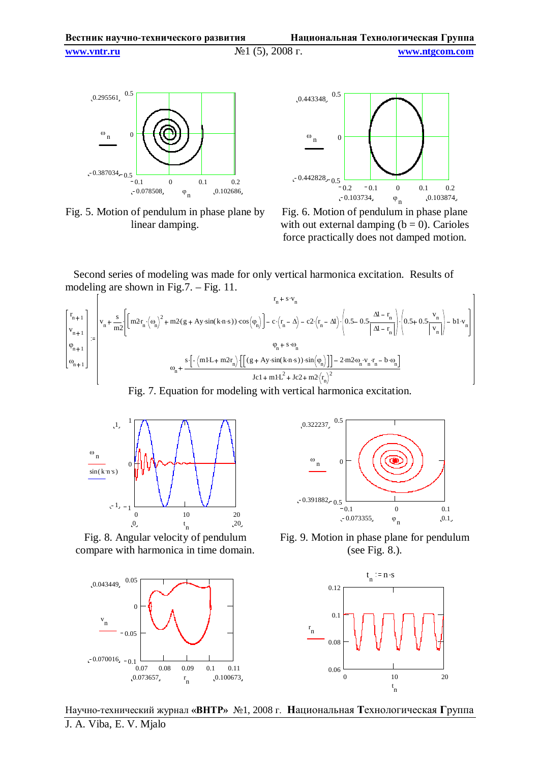**www.vntr.ru** №1 (5), 2008 г. **www.ntgcom.com**

0.295561  $0.387034 - 0.5$  $^{\omega}$ <sub>n</sub>  $-0.078508$   $\phi$  0.102686  $\varphi$ <sub>n</sub> 0.1 0 0.1 0.2  $\mathcal{C}_{\mathcal{C}}$ 0.5





Fig. 6. Motion of pendulum in phase plane with out external damping  $(b = 0)$ . Carioles force practically does not damped motion.

Second series of modeling was made for only vertical harmonica excitation. Results of modeling are shown in Fig.7. – Fig. 11.

$$
\begin{bmatrix}r_{n+1}\\v_{n+1}\\v_{n+1}\\v_{n+1}\end{bmatrix}:=\begin{bmatrix}r_{n+1}\\v_n+\dfrac{s}{m^2}\bigg[\bigg(m2r_n\cdot\big(\omega_n\big)^2+m2(g+Ay\cdot sin(k\cdot n\cdot s))\cdot cos\big(\phi_n\big)\bigg]-c\cdot\big(r_n-\Delta\big)-c2\cdot\big(r_n-\Delta\big)\cdot\bigg(0.5-0.5\frac{\Delta l-r_n}{\big|\Delta l-r_n\big|}\bigg)\cdot\bigg(0.5+0.5\frac{v_n}{\big|v_n\big|}\bigg)-b1\cdot v_n\bigg]\\ \phi_{n+1}\\ \phi_{n+1}\end{bmatrix}\\ \begin{bmatrix} \phi_{n+1}\\ \phi_{n+1}\\ \phi_n\end{bmatrix}:=\begin{bmatrix}r_{n+1}\\v_n\end{bmatrix}+\frac{s\cdot\bigg[-\big(ml\cdot L+m2r_n\big)\cdot\bigg[\big(g+Ay\cdot sin(k\cdot n\cdot s)\big)\cdot sin\big(\phi_n\big)\big]\big]-2\cdot m2\cdot\omega_n\cdot v_n\cdot r_n-b\cdot\omega_n\bigg]\\ \hline Jc1+m1\cdot L^2+Jc2+m2\cdot\big(r_n\big)^2\end{bmatrix}
$$

Fig. 7. Equation for modeling with vertical harmonica excitation.



Fig. 8. Angular velocity of pendulum compare with harmonica in time domain.





Fig. 9. Motion in phase plane for pendulum (see Fig. 8.).



Научно-технический журнал **«ВНТР»** №1, 2008 г. **Н**ациональная **Т**ехнологическая **Г**руппа J. A. Viba, E. V. Mjalo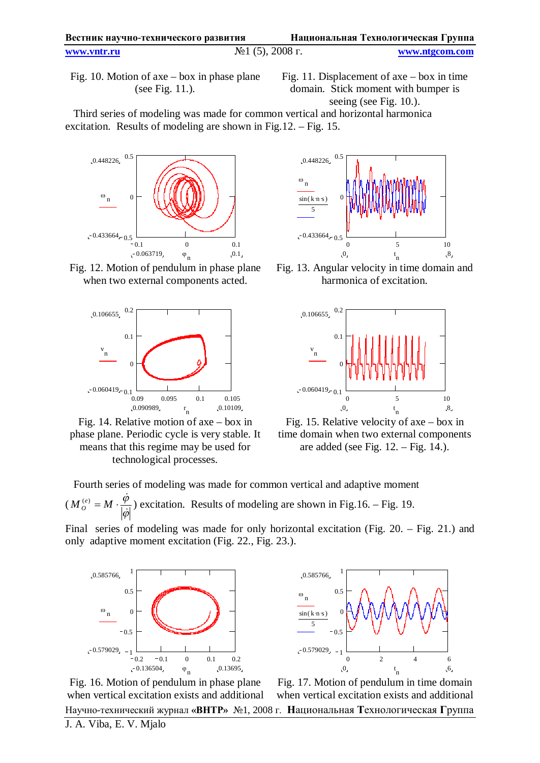| Вестник научно-технического развития |                                           | Национальная Технологическая Группа |                |
|--------------------------------------|-------------------------------------------|-------------------------------------|----------------|
| www.vntr.ru                          | $\mathcal{N}$ <sup>o</sup> 1 (5), 2008 г. |                                     | www.ntgcom.com |

Fig. 10. Motion of axe – box in phase plane (see Fig. 11.).

Fig. 11. Displacement of axe – box in time domain. Stick moment with bumper is seeing (see Fig. 10.).

Third series of modeling was made for common vertical and horizontal harmonica excitation. Results of modeling are shown in Fig.12. – Fig. 15.



Fig. 12. Motion of pendulum in phase plane when two external components acted.



Fig. 14. Relative motion of axe – box in phase plane. Periodic cycle is very stable. It means that this regime may be used for technological processes.



Fig. 13. Angular velocity in time domain and harmonica of excitation.



Fig. 15. Relative velocity of axe – box in time domain when two external components are added (see Fig.  $12. - Fig. 14.$ ).

Fourth series of modeling was made for common vertical and adaptive moment (  $\varphi$ φ þ  $M_{Q}^{(e)} = M \cdot \frac{\dot{\phi}}{1 + \frac{1}{2}}$ *O*  $\mathcal{L}_{\alpha}^{(e)} = M \cdot \frac{\varphi}{\Box 1}$ ) excitation. Results of modeling are shown in Fig.16. – Fig. 19.

Final series of modeling was made for only horizontal excitation (Fig. 20. – Fig. 21.) and only adaptive moment excitation (Fig. 22., Fig. 23.).



0.585766  $-0.579029$  $\omega$ n  $sin(k \cdot n \cdot s)$ 5  $\mathfrak{b}$  t t  $\mathfrak{b}$ t<br>n 0 2 4 6 1  $-0.5$ 0  $0.5$ 1

Научно-технический журнал **«ВНТР»** №1, 2008 г. **Н**ациональная **Т**ехнологическая **Г**руппа Fig. 16. Motion of pendulum in phase plane when vertical excitation exists and additional

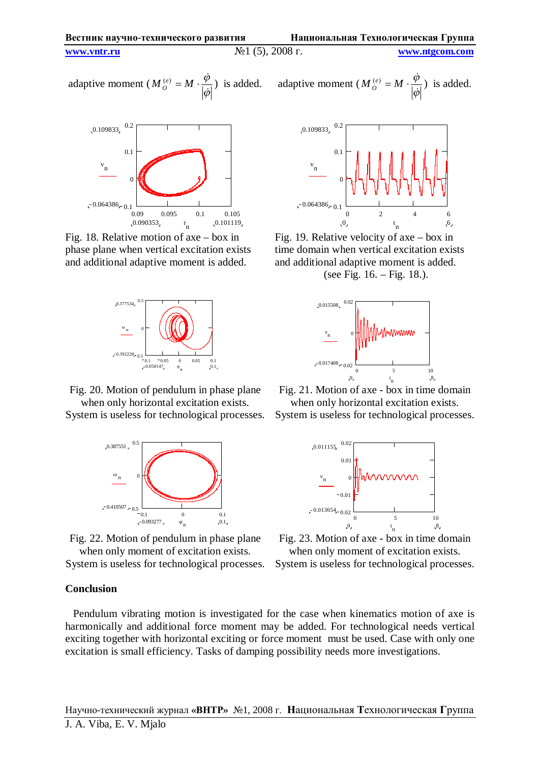adaptive moment 
$$
(M_o^{(e)} = M \cdot \frac{\dot{\phi}}{|\dot{\phi}|})
$$
 is added.



Fig. 18. Relative motion of axe – box in phase plane when vertical excitation exists and additional adaptive moment is added.



Fig. 20. Motion of pendulum in phase plane when only horizontal excitation exists.



Fig. 22. Motion of pendulum in phase plane when only moment of excitation exists.

 $-0.093277$ ,  $\varphi_n$ ,  $0.1$  $\varphi$ <sub>n</sub>

System is useless for technological processes.

### **Conclusion**

Pendulum vibrating motion is investigated for the case when kinematics motion of axe is harmonically and additional force moment may be added. For technological needs vertical exciting together with horizontal exciting or force moment must be used. Case with only one excitation is small efficiency. Tasks of damping possibility needs more investigations.

) is added. adaptive moment ( $M_o^{(e)} = M$ .  $\varphi$  $\varphi$ .<br>P .<br>P *O*  $\left( e\right)$ ) is added.



Fig. 19. Relative velocity of axe – box in time domain when vertical excitation exists and additional adaptive moment is added.

(see Fig. 16. – Fig. 18.).



Fig. 21. Motion of axe - box in time domain when only horizontal excitation exists.

System is useless for technological processes.



Fig. 23. Motion of axe - box in time domain when only moment of excitation exists. System is useless for technological processes.